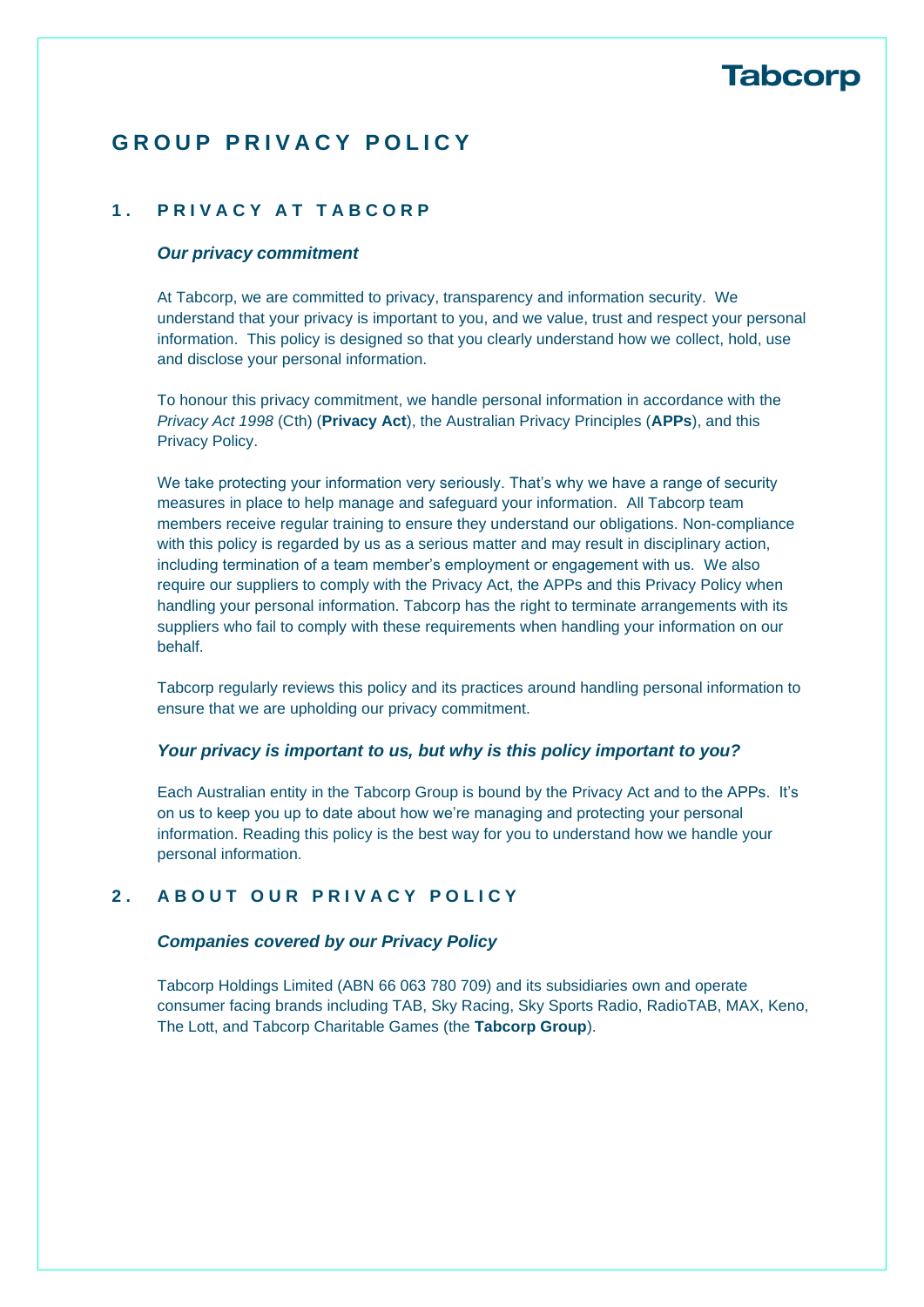## **G R O U P P R I V A C Y P O L I C Y**

### **1 . P R I V A C Y A T T A B C O R P**

#### *Our privacy commitment*

At Tabcorp, we are committed to privacy, transparency and information security. We understand that your privacy is important to you, and we value, trust and respect your personal information. This policy is designed so that you clearly understand how we collect, hold, use and disclose your personal information.

To honour this privacy commitment, we handle personal information in accordance with the *Privacy Act 1998* (Cth) (**Privacy Act**), the Australian Privacy Principles (**APPs**), and this Privacy Policy.

We take protecting your information very seriously. That's why we have a range of security measures in place to help manage and safeguard your information. All Tabcorp team members receive regular training to ensure they understand our obligations. Non-compliance with this policy is regarded by us as a serious matter and may result in disciplinary action, including termination of a team member's employment or engagement with us. We also require our suppliers to comply with the Privacy Act, the APPs and this Privacy Policy when handling your personal information. Tabcorp has the right to terminate arrangements with its suppliers who fail to comply with these requirements when handling your information on our behalf.

Tabcorp regularly reviews this policy and its practices around handling personal information to ensure that we are upholding our privacy commitment.

#### *Your privacy is important to us, but why is this policy important to you?*

Each Australian entity in the Tabcorp Group is bound by the Privacy Act and to the APPs. It's on us to keep you up to date about how we're managing and protecting your personal information. Reading this policy is the best way for you to understand how we handle your personal information.

## **2 . A B O U T O U R P R I V A C Y P O L I C Y**

#### *Companies covered by our Privacy Policy*

Tabcorp Holdings Limited (ABN 66 063 780 709) and its subsidiaries own and operate consumer facing brands including TAB, Sky Racing, Sky Sports Radio, RadioTAB, MAX, Keno, The Lott, and Tabcorp Charitable Games (the **Tabcorp Group**).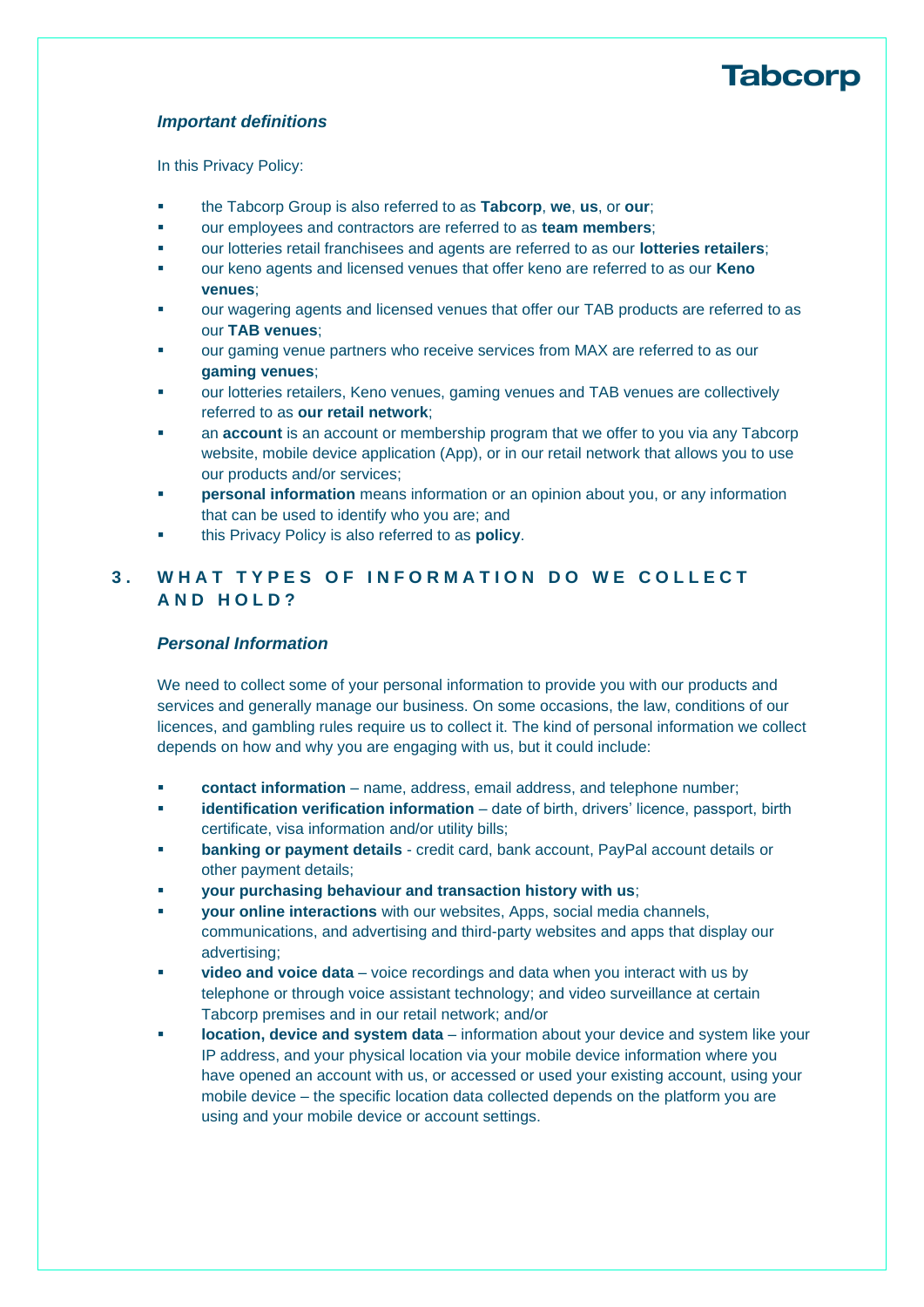#### *Important definitions*

In this Privacy Policy:

- the Tabcorp Group is also referred to as **Tabcorp**, **we**, **us**, or **our**;
- our employees and contractors are referred to as **team members**;
- our lotteries retail franchisees and agents are referred to as our **lotteries retailers**;
- our keno agents and licensed venues that offer keno are referred to as our **Keno venues**;
- our wagering agents and licensed venues that offer our TAB products are referred to as our **TAB venues**;
- our gaming venue partners who receive services from MAX are referred to as our **gaming venues**;
- our lotteries retailers, Keno venues, gaming venues and TAB venues are collectively referred to as **our retail network**;
- an **account** is an account or membership program that we offer to you via any Tabcorp website, mobile device application (App), or in our retail network that allows you to use our products and/or services;
- **personal information** means information or an opinion about you, or any information that can be used to identify who you are; and
- this Privacy Policy is also referred to as **policy**.

## **3 . W H A T T Y P E S O F I N F O R M A T I O N D O W E C O L L E C T A N D H O L D ?**

### *Personal Information*

We need to collect some of your personal information to provide you with our products and services and generally manage our business. On some occasions, the law, conditions of our licences, and gambling rules require us to collect it. The kind of personal information we collect depends on how and why you are engaging with us, but it could include:

- **contact information** name, address, email address, and telephone number;
- **identification verification information** date of birth, drivers' licence, passport, birth certificate, visa information and/or utility bills;
- **banking or payment details** credit card, bank account, PayPal account details or other payment details;
- your purchasing behaviour and transaction history with us;
- **your online interactions** with our websites, Apps, social media channels, communications, and advertising and third-party websites and apps that display our advertising;
- **video and voice data** voice recordings and data when you interact with us by telephone or through voice assistant technology; and video surveillance at certain Tabcorp premises and in our retail network; and/or
- **location, device and system data** information about your device and system like your IP address, and your physical location via your mobile device information where you have opened an account with us, or accessed or used your existing account, using your mobile device – the specific location data collected depends on the platform you are using and your mobile device or account settings.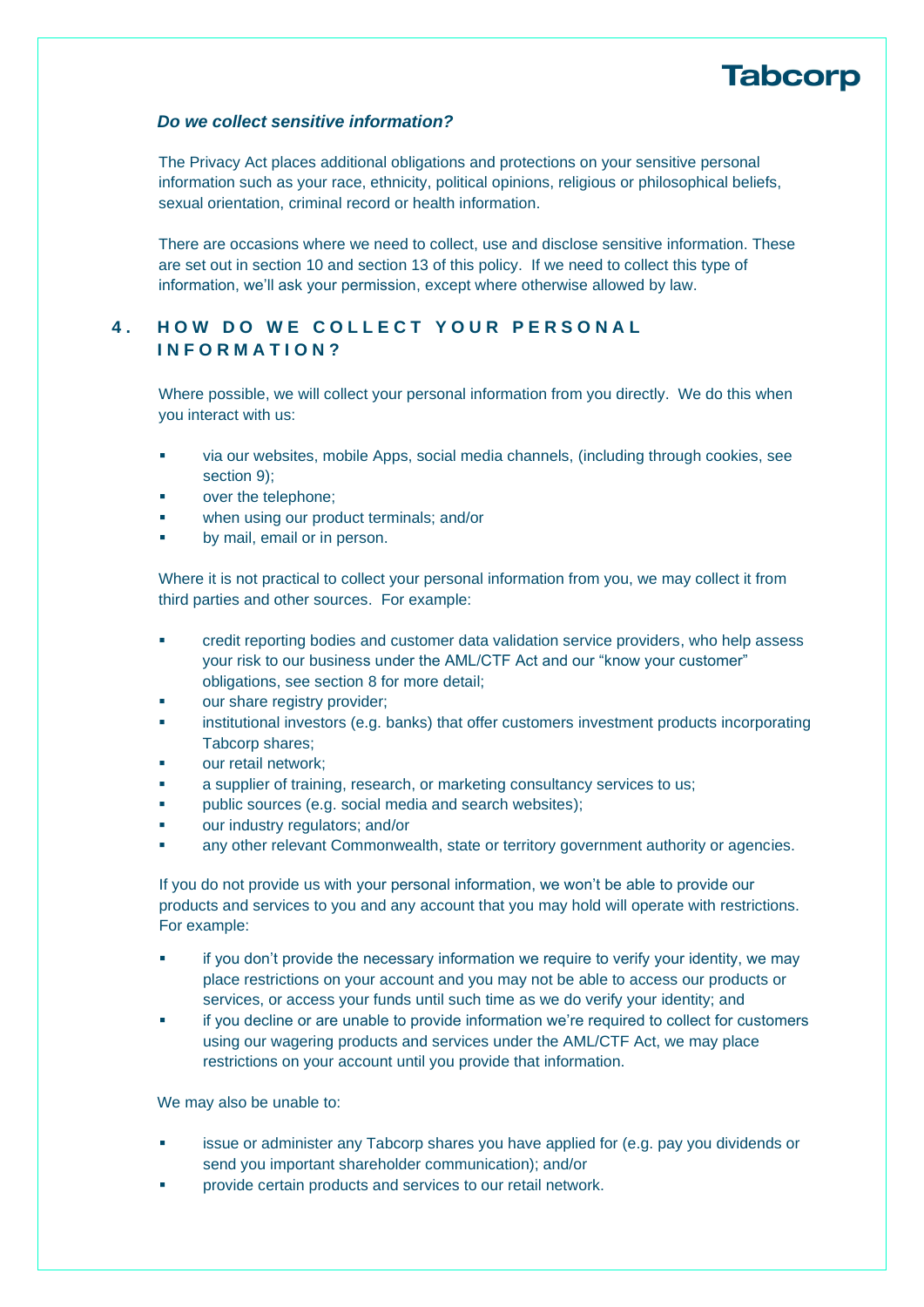#### *Do we collect sensitive information?*

The Privacy Act places additional obligations and protections on your sensitive personal information such as your race, ethnicity, political opinions, religious or philosophical beliefs, sexual orientation, criminal record or health information.

There are occasions where we need to collect, use and disclose sensitive information. These are set out in section [10](#page-6-0) and section [13](#page-9-0) of this policy. If we need to collect this type of information, we'll ask your permission, except where otherwise allowed by law.

## **4. HOW DO WE COLLECT YOUR PERSONAL I N F O R M A T I O N ?**

Where possible, we will collect your personal information from you directly. We do this when you interact with us:

- via our websites, mobile Apps, social media channels, (including through cookies, see section [9\)](#page-5-0):
- over the telephone:
- **■** when using our product terminals; and/or
- by mail, email or in person.

Where it is not practical to collect your personal information from you, we may collect it from third parties and other sources. For example:

- credit reporting bodies and customer data validation service providers, who help assess your risk to our business under the AML/CTF Act and our "know your customer" obligations, see section [8](#page-4-0) for more detail;
- our share registry provider;
- institutional investors (e.g. banks) that offer customers investment products incorporating Tabcorp shares;
- our retail network;
- a supplier of training, research, or marketing consultancy services to us;
- public sources (e.g. social media and search websites);
- our industry regulators; and/or
- any other relevant Commonwealth, state or territory government authority or agencies.

If you do not provide us with your personal information, we won't be able to provide our products and services to you and any account that you may hold will operate with restrictions. For example:

- if you don't provide the necessary information we require to verify your identity, we may place restrictions on your account and you may not be able to access our products or services, or access your funds until such time as we do verify your identity; and
- if you decline or are unable to provide information we're required to collect for customers using our wagering products and services under the AML/CTF Act, we may place restrictions on your account until you provide that information.

We may also be unable to:

- issue or administer any Tabcorp shares you have applied for (e.g. pay you dividends or send you important shareholder communication); and/or
- provide certain products and services to our retail network.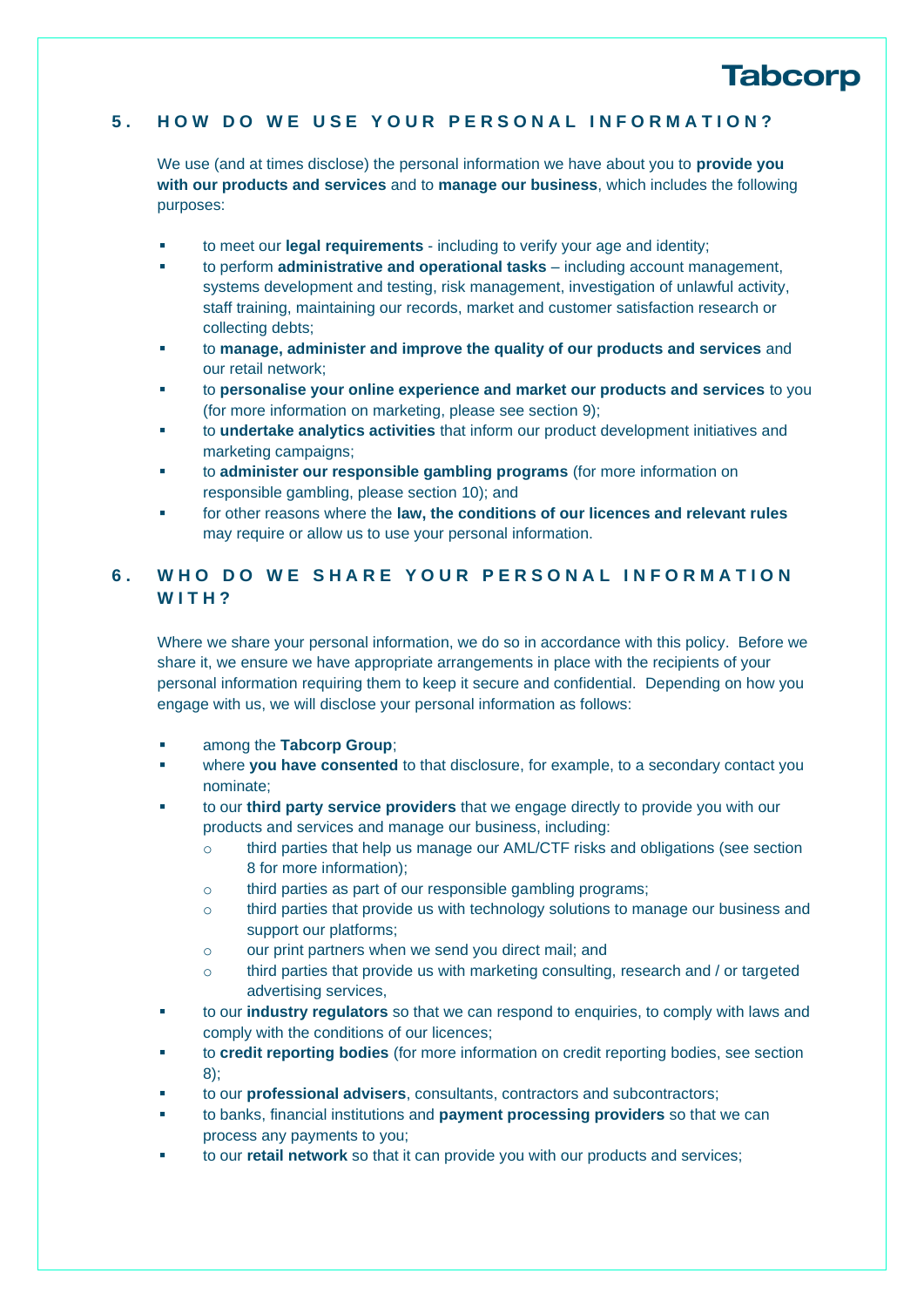### **5 . H O W D O W E U S E Y O U R P E R S O N A L I N F O R M A T I O N ?**

We use (and at times disclose) the personal information we have about you to **provide you with our products and services** and to **manage our business**, which includes the following purposes:

- to meet our **legal requirements** including to verify your age and identity;
- to perform **administrative and operational tasks** including account management, systems development and testing, risk management, investigation of unlawful activity, staff training, maintaining our records, market and customer satisfaction research or collecting debts;
- to **manage, administer and improve the quality of our products and services** and our retail network;
- to **personalise your online experience and market our products and services** to you (for more information on marketing, please see section [9\)](#page-5-0);
- to **undertake analytics activities** that inform our product development initiatives and marketing campaigns;
- to **administer our responsible gambling programs** (for more information on responsible gambling, please section [10\)](#page-6-0); and
- for other reasons where the law, the conditions of our licences and relevant rules may require or allow us to use your personal information.

## **6 . W H O D O W E S H A R E Y O U R P E R S O N A L I N F O R M A T I O N W I T H ?**

Where we share your personal information, we do so in accordance with this policy. Before we share it, we ensure we have appropriate arrangements in place with the recipients of your personal information requiring them to keep it secure and confidential. Depending on how you engage with us, we will disclose your personal information as follows:

- among the **Tabcorp Group**;
- where you have consented to that disclosure, for example, to a secondary contact you nominate;
- to our **third party service providers** that we engage directly to provide you with our products and services and manage our business, including:
	- o third parties that help us manage our AML/CTF risks and obligations (see section [8](#page-4-0) for more information);
	- o third parties as part of our responsible gambling programs;
	- $\circ$  third parties that provide us with technology solutions to manage our business and support our platforms;
	- o our print partners when we send you direct mail; and
	- $\circ$  third parties that provide us with marketing consulting, research and / or targeted advertising services,
- to our **industry regulators** so that we can respond to enquiries, to comply with laws and comply with the conditions of our licences;
- to **credit reporting bodies** (for more information on credit reporting bodies, see section [8\)](#page-4-0);
- to our **professional advisers**, consultants, contractors and subcontractors;
- to banks, financial institutions and **payment processing providers** so that we can process any payments to you;
- to our **retail network** so that it can provide you with our products and services;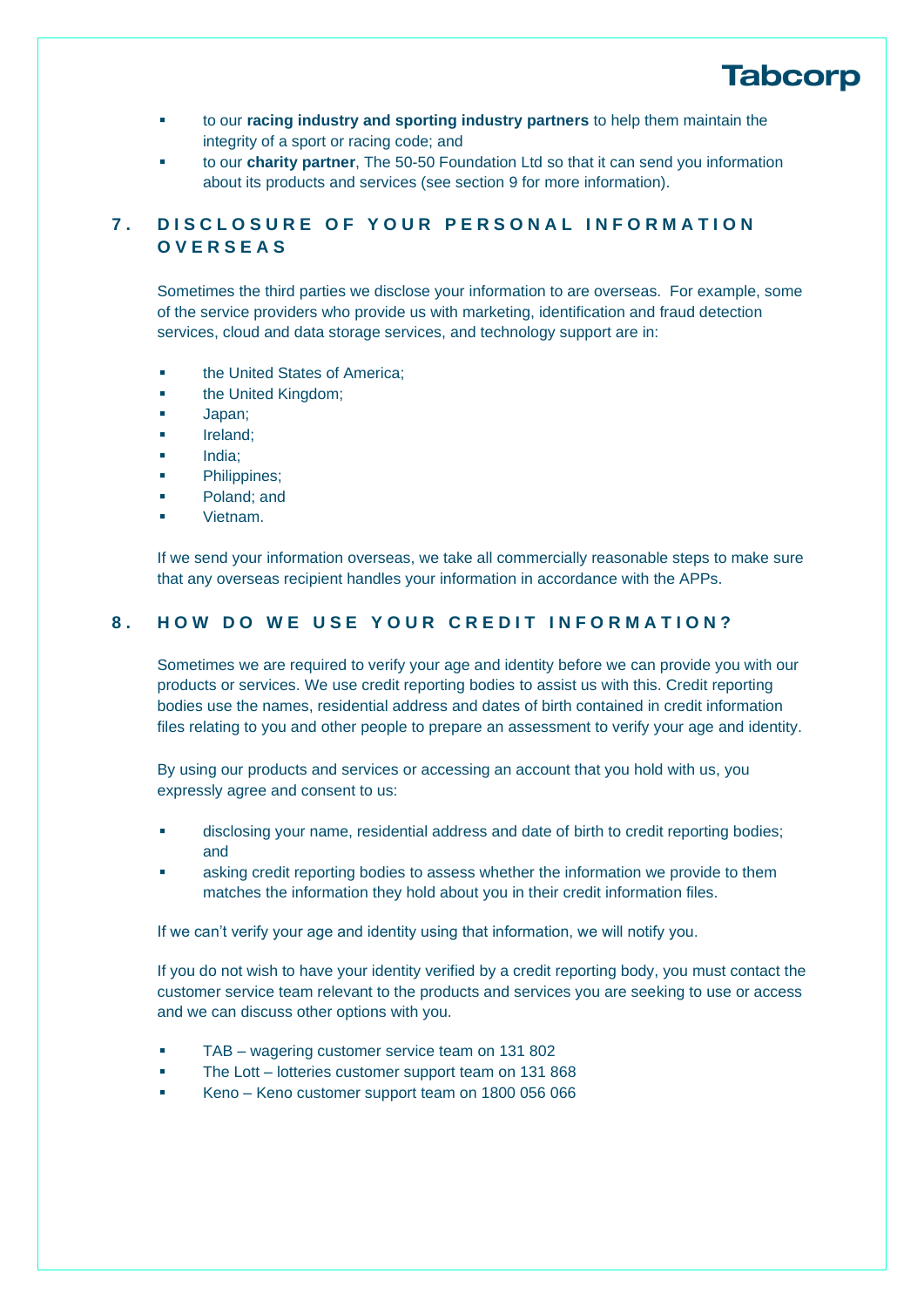

- to our **racing industry and sporting industry partners** to help them maintain the integrity of a sport or racing code; and
- to our **charity partner**, The 50-50 Foundation Ltd so that it can send you information about its products and services (see section [9](#page-5-0) for more information).

### **7 . D I S C L O S U R E O F Y O U R P E R S O N A L I N F O R M A T I O N O V E R S E A S**

Sometimes the third parties we disclose your information to are overseas. For example, some of the service providers who provide us with marketing, identification and fraud detection services, cloud and data storage services, and technology support are in:

- the United States of America:
- **■** the United Kingdom;
- Japan;
- Ireland;
- India;
- Philippines;
- Poland; and
- Vietnam.

If we send your information overseas, we take all commercially reasonable steps to make sure that any overseas recipient handles your information in accordance with the APPs.

### <span id="page-4-0"></span>8. **HOW DO WE USE YOUR CREDIT INFORMATION?**

Sometimes we are required to verify your age and identity before we can provide you with our products or services. We use credit reporting bodies to assist us with this. Credit reporting bodies use the names, residential address and dates of birth contained in credit information files relating to you and other people to prepare an assessment to verify your age and identity.

By using our products and services or accessing an account that you hold with us, you expressly agree and consent to us:

- disclosing your name, residential address and date of birth to credit reporting bodies; and
- asking credit reporting bodies to assess whether the information we provide to them matches the information they hold about you in their credit information files.

If we can't verify your age and identity using that information, we will notify you.

If you do not wish to have your identity verified by a credit reporting body, you must contact the customer service team relevant to the products and services you are seeking to use or access and we can discuss other options with you.

- TAB wagering customer service team on 131 802
- The Lott lotteries customer support team on 131 868
- Keno Keno customer support team on 1800 056 066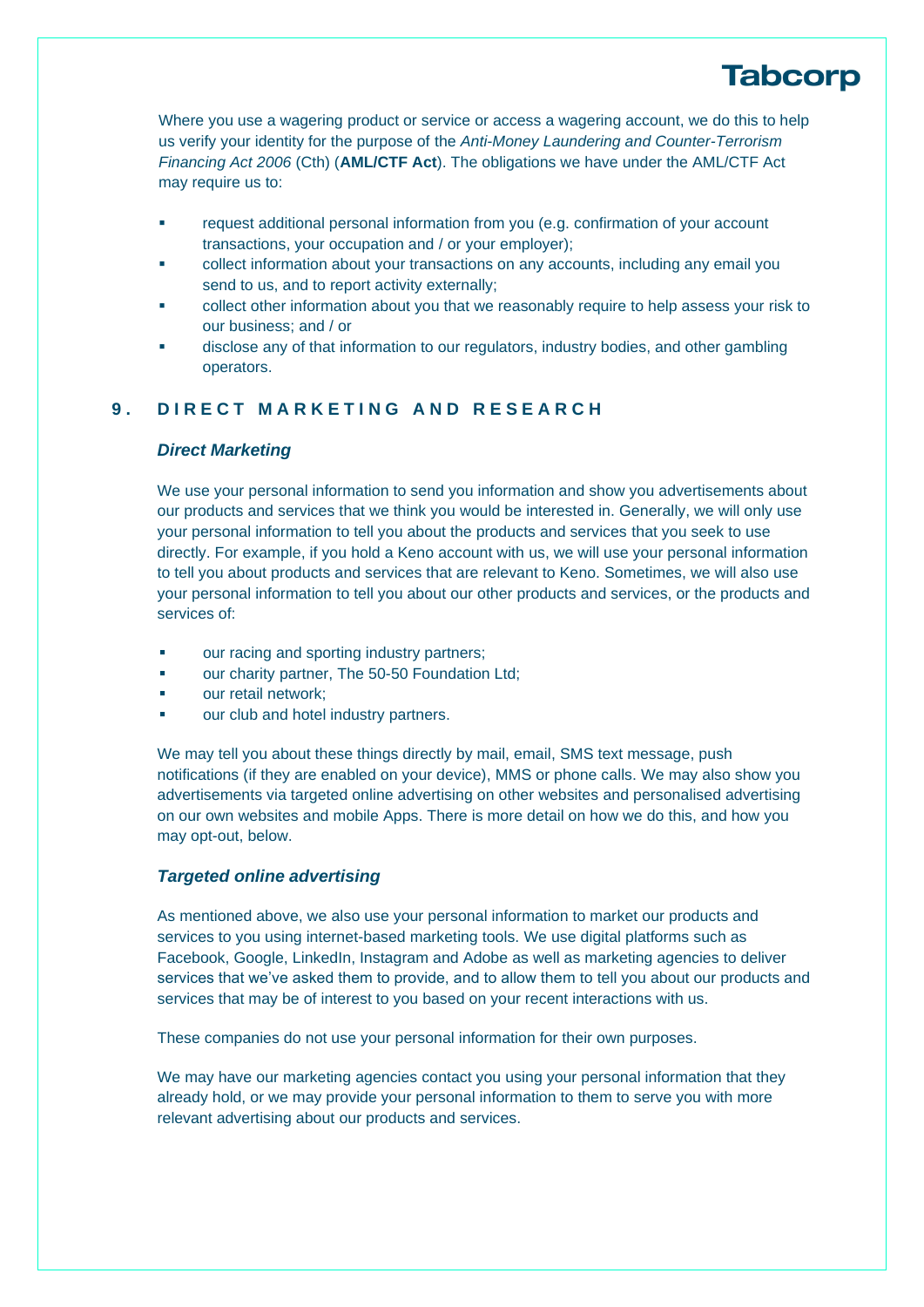Where you use a wagering product or service or access a wagering account, we do this to help us verify your identity for the purpose of the *Anti-Money Laundering and Counter-Terrorism Financing Act 2006* (Cth) (**AML/CTF Act**). The obligations we have under the AML/CTF Act may require us to:

- request additional personal information from you (e.g. confirmation of your account transactions, your occupation and / or your employer);
- collect information about your transactions on any accounts, including any email you send to us, and to report activity externally;
- collect other information about you that we reasonably require to help assess your risk to our business; and / or
- disclose any of that information to our regulators, industry bodies, and other gambling operators.

### <span id="page-5-0"></span>**9 . D I R E C T M A R K E T I N G A N D R E S E A R C H**

#### *Direct Marketing*

We use your personal information to send you information and show you advertisements about our products and services that we think you would be interested in. Generally, we will only use your personal information to tell you about the products and services that you seek to use directly. For example, if you hold a Keno account with us, we will use your personal information to tell you about products and services that are relevant to Keno. Sometimes, we will also use your personal information to tell you about our other products and services, or the products and services of:

- our racing and sporting industry partners;
- our charity partner, The 50-50 Foundation Ltd:
- our retail network:
- our club and hotel industry partners.

We may tell you about these things directly by mail, email, SMS text message, push notifications (if they are enabled on your device), MMS or phone calls. We may also show you advertisements via targeted online advertising on other websites and personalised advertising on our own websites and mobile Apps. There is more detail on how we do this, and how you may opt-out, below.

#### *Targeted online advertising*

As mentioned above, we also use your personal information to market our products and services to you using internet-based marketing tools. We use digital platforms such as Facebook, Google, LinkedIn, Instagram and Adobe as well as marketing agencies to deliver services that we've asked them to provide, and to allow them to tell you about our products and services that may be of interest to you based on your recent interactions with us.

These companies do not use your personal information for their own purposes.

We may have our marketing agencies contact you using your personal information that they already hold, or we may provide your personal information to them to serve you with more relevant advertising about our products and services.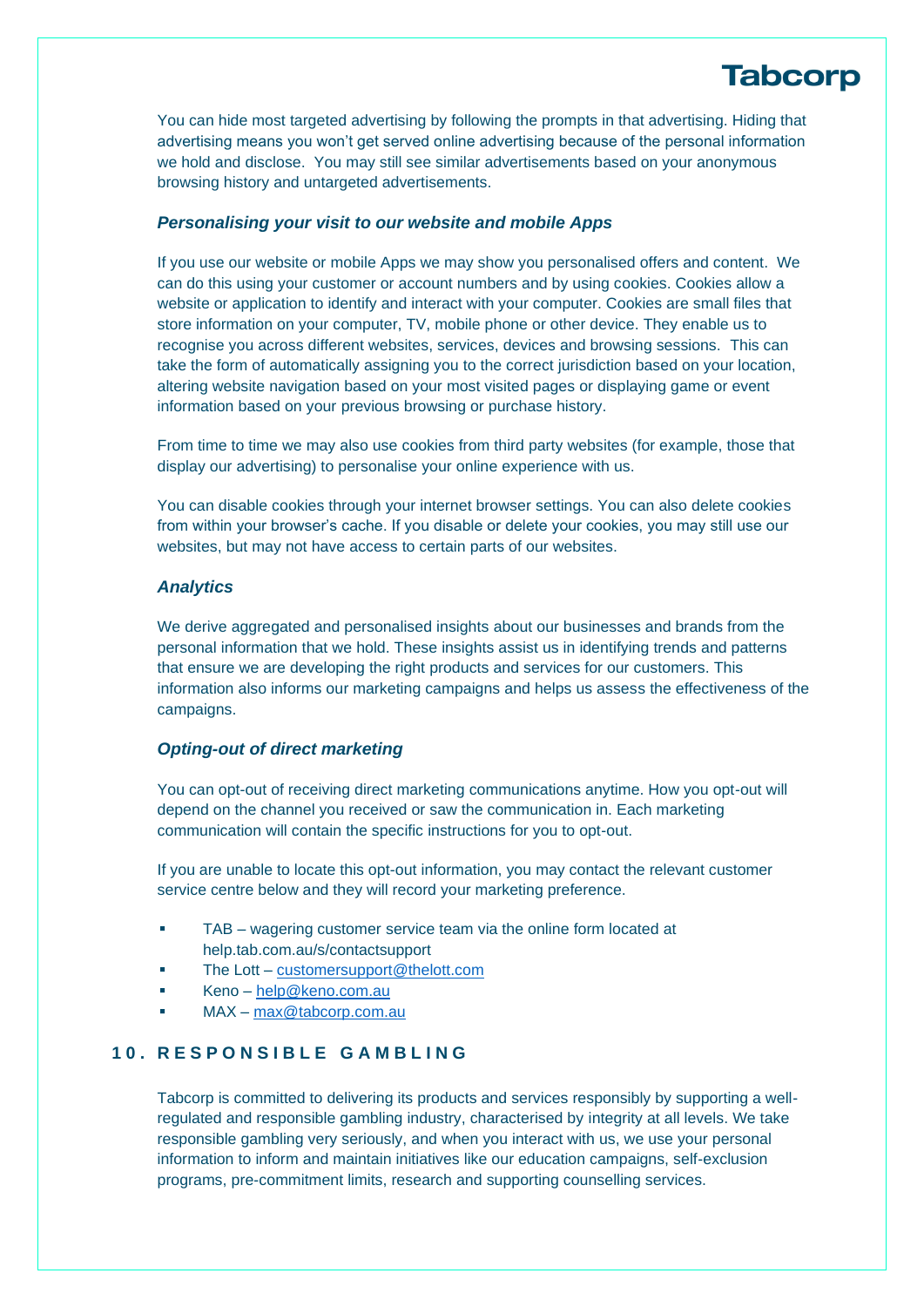You can hide most targeted advertising by following the prompts in that advertising. Hiding that advertising means you won't get served online advertising because of the personal information we hold and disclose. You may still see similar advertisements based on your anonymous browsing history and untargeted advertisements.

#### *Personalising your visit to our website and mobile Apps*

If you use our website or mobile Apps we may show you personalised offers and content. We can do this using your customer or account numbers and by using cookies. Cookies allow a website or application to identify and interact with your computer. Cookies are small files that store information on your computer, TV, mobile phone or other device. They enable us to recognise you across different websites, services, devices and browsing sessions. This can take the form of automatically assigning you to the correct jurisdiction based on your location, altering website navigation based on your most visited pages or displaying game or event information based on your previous browsing or purchase history.

From time to time we may also use cookies from third party websites (for example, those that display our advertising) to personalise your online experience with us.

You can disable cookies through your internet browser settings. You can also delete cookies from within your browser's cache. If you disable or delete your cookies, you may still use our websites, but may not have access to certain parts of our websites.

#### *Analytics*

We derive aggregated and personalised insights about our businesses and brands from the personal information that we hold. These insights assist us in identifying trends and patterns that ensure we are developing the right products and services for our customers. This information also informs our marketing campaigns and helps us assess the effectiveness of the campaigns.

#### *Opting-out of direct marketing*

You can opt-out of receiving direct marketing communications anytime. How you opt-out will depend on the channel you received or saw the communication in. Each marketing communication will contain the specific instructions for you to opt-out.

If you are unable to locate this opt-out information, you may contact the relevant customer service centre below and they will record your marketing preference.

- TAB wagering customer service team via the online form located at help.tab.com.au/s/contactsupport
- The Lott [customersupport@thelott.com](mailto:customersupport@thelott.com)
- Keno [help@keno.com.au](mailto:help@keno.com.au)
- MAX [max@tabcorp.com.au](mailto:max@tabcorp.com.au)

### <span id="page-6-0"></span>**10. R E S P O N S I B L E G A M B L I N G**

Tabcorp is committed to delivering its products and services responsibly by supporting a wellregulated and responsible gambling industry, characterised by integrity at all levels. We take responsible gambling very seriously, and when you interact with us, we use your personal information to inform and maintain initiatives like our education campaigns, self-exclusion programs, pre-commitment limits, research and supporting counselling services.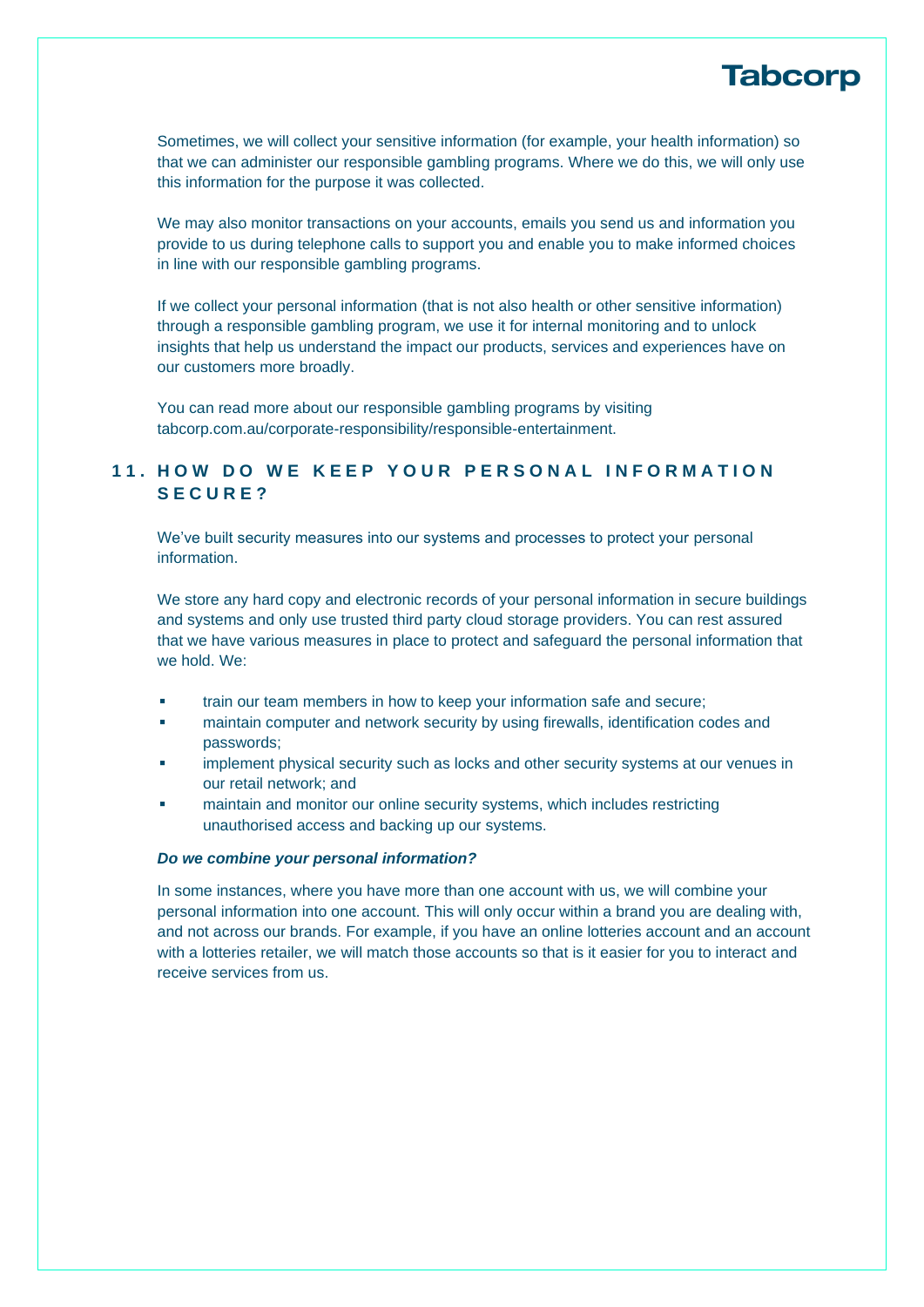Sometimes, we will collect your sensitive information (for example, your health information) so that we can administer our responsible gambling programs. Where we do this, we will only use this information for the purpose it was collected.

We may also monitor transactions on your accounts, emails you send us and information you provide to us during telephone calls to support you and enable you to make informed choices in line with our responsible gambling programs.

If we collect your personal information (that is not also health or other sensitive information) through a responsible gambling program, we use it for internal monitoring and to unlock insights that help us understand the impact our products, services and experiences have on our customers more broadly.

You can read more about our responsible gambling programs by visiting tabcorp.com.au/corporate-responsibility/responsible-entertainment.

## 11. HOW DO WE KEEP YOUR PERSONAL INFORMATION **SECURE?**

We've built security measures into our systems and processes to protect your personal information.

We store any hard copy and electronic records of your personal information in secure buildings and systems and only use trusted third party cloud storage providers. You can rest assured that we have various measures in place to protect and safeguard the personal information that we hold. We:

- train our team members in how to keep your information safe and secure;
- maintain computer and network security by using firewalls, identification codes and passwords;
- implement physical security such as locks and other security systems at our venues in our retail network; and
- maintain and monitor our online security systems, which includes restricting unauthorised access and backing up our systems.

#### *Do we combine your personal information?*

In some instances, where you have more than one account with us, we will combine your personal information into one account. This will only occur within a brand you are dealing with, and not across our brands. For example, if you have an online lotteries account and an account with a lotteries retailer, we will match those accounts so that is it easier for you to interact and receive services from us.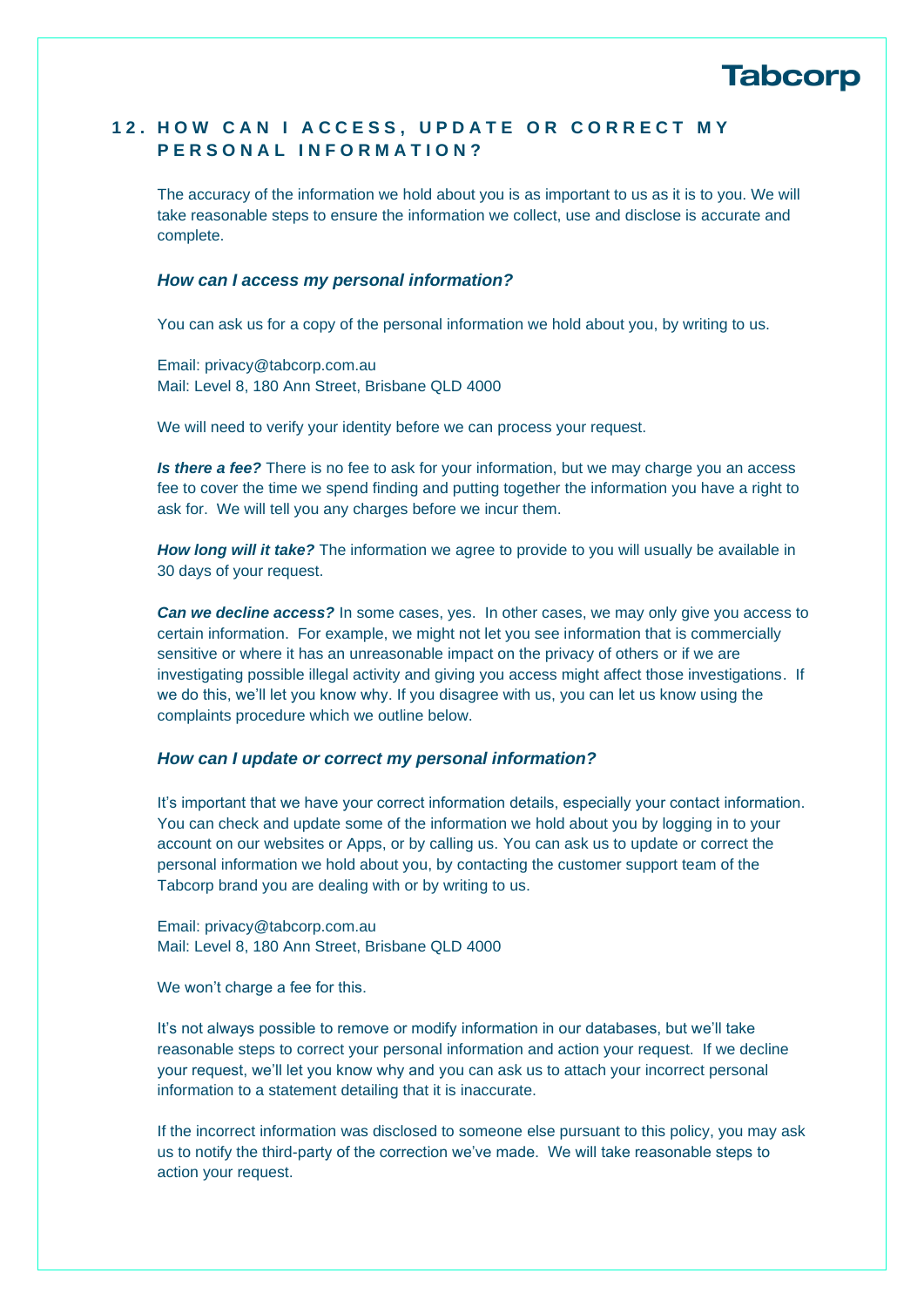

## 12. HOW CAN I ACCESS, UPDATE OR CORRECT MY **P E R S O N A L I N F O R M A T I O N ?**

The accuracy of the information we hold about you is as important to us as it is to you. We will take reasonable steps to ensure the information we collect, use and disclose is accurate and complete.

#### *How can I access my personal information?*

You can ask us for a copy of the personal information we hold about you, by writing to us.

Email: privacy@tabcorp.com.au Mail: Level 8, 180 Ann Street, Brisbane QLD 4000

We will need to verify your identity before we can process your request.

**Is there a fee?** There is no fee to ask for your information, but we may charge you an access fee to cover the time we spend finding and putting together the information you have a right to ask for. We will tell you any charges before we incur them.

**How long will it take?** The information we agree to provide to you will usually be available in 30 days of your request.

*Can we decline access?* In some cases, yes. In other cases, we may only give you access to certain information. For example, we might not let you see information that is commercially sensitive or where it has an unreasonable impact on the privacy of others or if we are investigating possible illegal activity and giving you access might affect those investigations. If we do this, we'll let you know why. If you disagree with us, you can let us know using the complaints procedure which we outline below.

#### *How can I update or correct my personal information?*

It's important that we have your correct information details, especially your contact information. You can check and update some of the information we hold about you by logging in to your account on our websites or Apps, or by calling us. You can ask us to update or correct the personal information we hold about you, by contacting the customer support team of the Tabcorp brand you are dealing with or by writing to us.

Email: privacy@tabcorp.com.au Mail: Level 8, 180 Ann Street, Brisbane QLD 4000

We won't charge a fee for this.

It's not always possible to remove or modify information in our databases, but we'll take reasonable steps to correct your personal information and action your request. If we decline your request, we'll let you know why and you can ask us to attach your incorrect personal information to a statement detailing that it is inaccurate.

If the incorrect information was disclosed to someone else pursuant to this policy, you may ask us to notify the third-party of the correction we've made. We will take reasonable steps to action your request.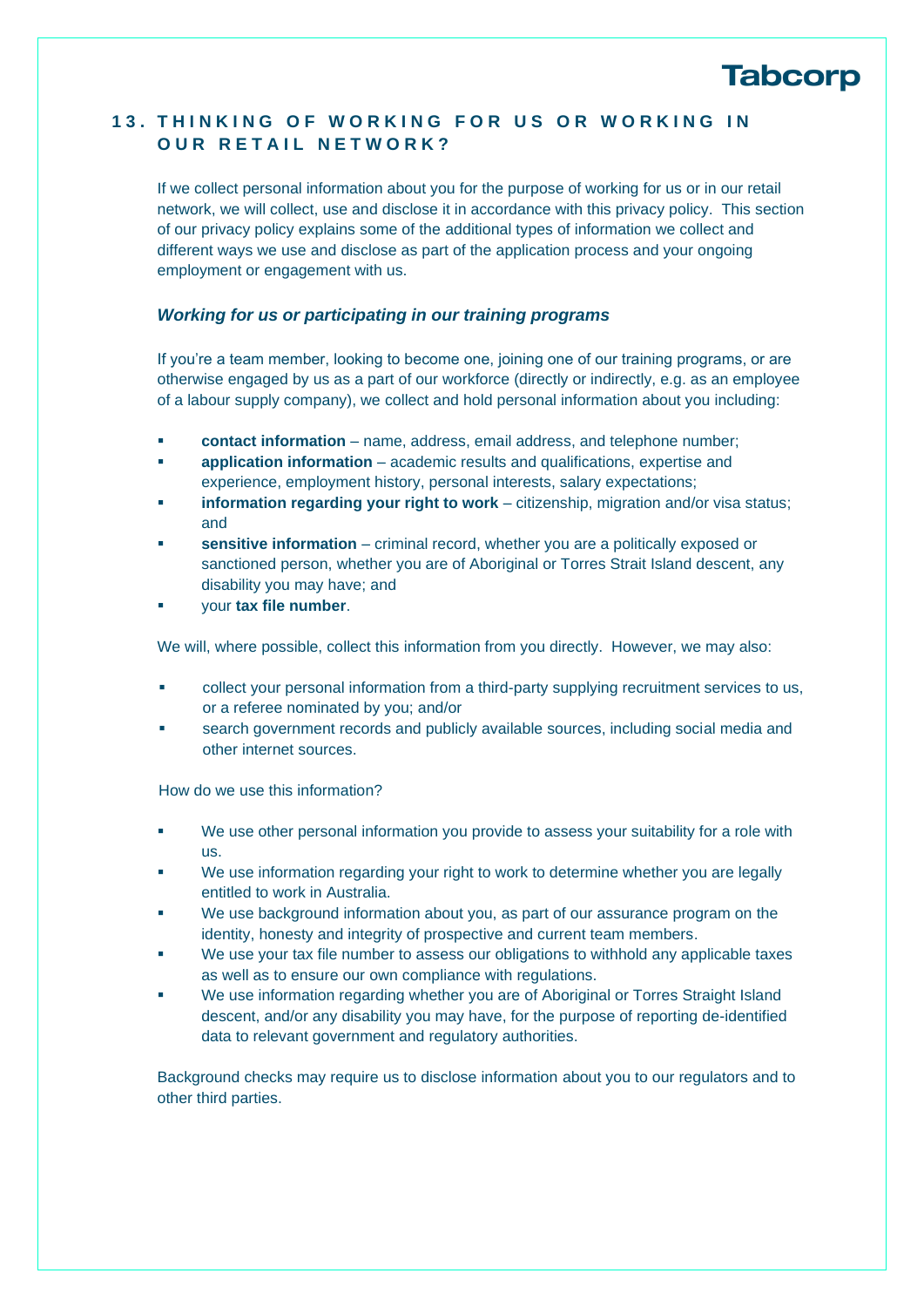### <span id="page-9-0"></span>**13. THINKING OF WORKING FOR US OR WORKING IN OUR RETAIL NETWORK?**

If we collect personal information about you for the purpose of working for us or in our retail network, we will collect, use and disclose it in accordance with this privacy policy. This section of our privacy policy explains some of the additional types of information we collect and different ways we use and disclose as part of the application process and your ongoing employment or engagement with us.

#### *Working for us or participating in our training programs*

If you're a team member, looking to become one, joining one of our training programs, or are otherwise engaged by us as a part of our workforce (directly or indirectly, e.g. as an employee of a labour supply company), we collect and hold personal information about you including:

- contact information name, address, email address, and telephone number;
- **application information** academic results and qualifications, expertise and experience, employment history, personal interests, salary expectations;
- **information regarding your right to work** citizenship, migration and/or visa status; and
- **sensitive information** criminal record, whether you are a politically exposed or sanctioned person, whether you are of Aboriginal or Torres Strait Island descent, any disability you may have; and
- your **tax file number**.

We will, where possible, collect this information from you directly. However, we may also:

- collect your personal information from a third-party supplying recruitment services to us, or a referee nominated by you; and/or
- search government records and publicly available sources, including social media and other internet sources.

How do we use this information?

- We use other personal information you provide to assess your suitability for a role with us.
- We use information regarding your right to work to determine whether you are legally entitled to work in Australia.
- We use background information about you, as part of our assurance program on the identity, honesty and integrity of prospective and current team members.
- We use your tax file number to assess our obligations to withhold any applicable taxes as well as to ensure our own compliance with regulations.
- We use information regarding whether you are of Aboriginal or Torres Straight Island descent, and/or any disability you may have, for the purpose of reporting de-identified data to relevant government and regulatory authorities.

Background checks may require us to disclose information about you to our regulators and to other third parties.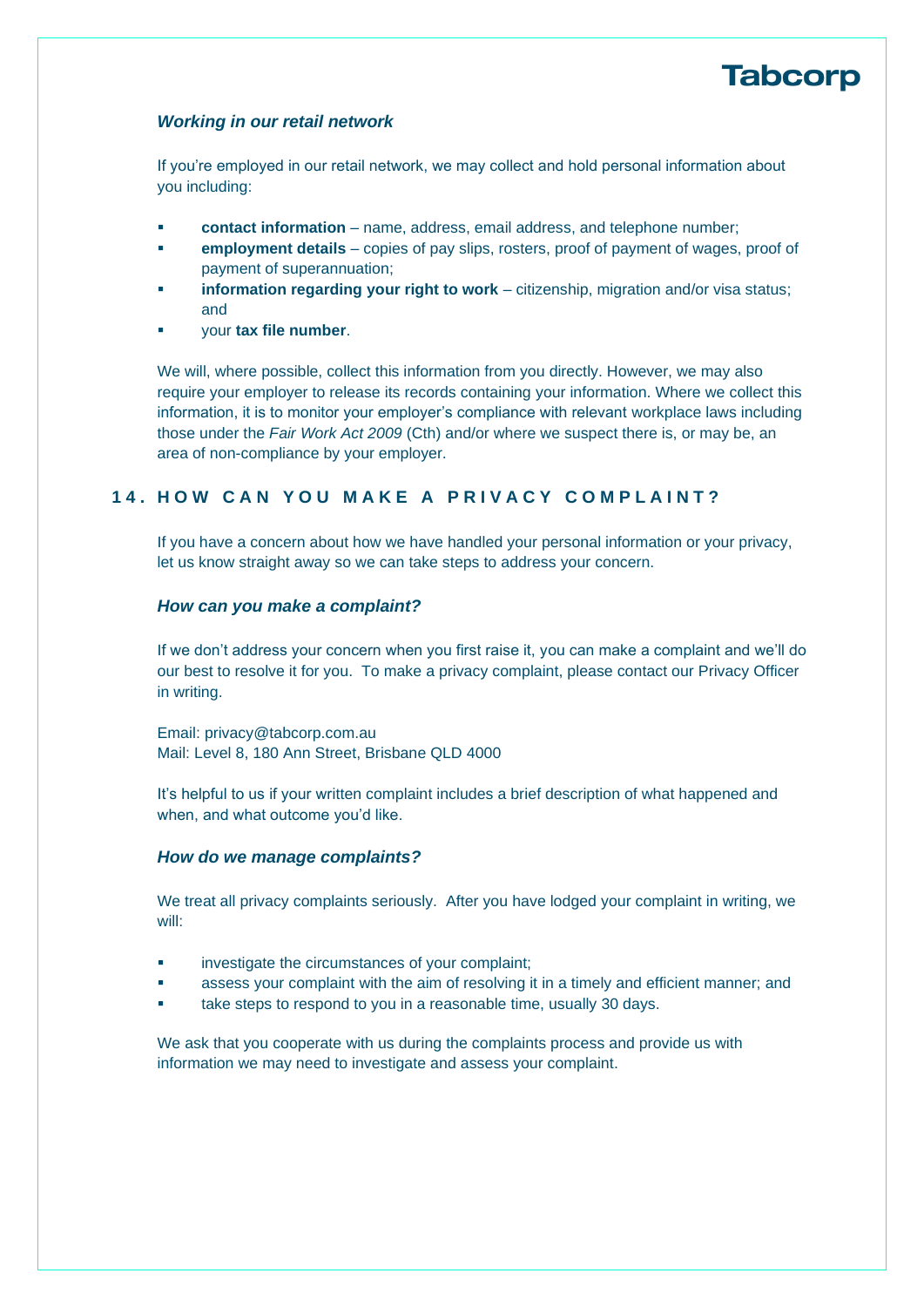#### *Working in our retail network*

If you're employed in our retail network, we may collect and hold personal information about you including:

- **contact information** name, address, email address, and telephone number;
- **employment details** copies of pay slips, rosters, proof of payment of wages, proof of payment of superannuation;
- **information regarding your right to work** citizenship, migration and/or visa status; and
- your **tax file number**.

We will, where possible, collect this information from you directly. However, we may also require your employer to release its records containing your information. Where we collect this information, it is to monitor your employer's compliance with relevant workplace laws including those under the *Fair Work Act 2009* (Cth) and/or where we suspect there is, or may be, an area of non-compliance by your employer.

### **14. H O W C A N Y O U M A K E A P R I V A C Y C O M P L A I N T ?**

If you have a concern about how we have handled your personal information or your privacy, let us know straight away so we can take steps to address your concern.

#### *How can you make a complaint?*

If we don't address your concern when you first raise it, you can make a complaint and we'll do our best to resolve it for you. To make a privacy complaint, please contact our Privacy Officer in writing.

Email: privacy@tabcorp.com.au Mail: Level 8, 180 Ann Street, Brisbane QLD 4000

It's helpful to us if your written complaint includes a brief description of what happened and when, and what outcome you'd like.

#### *How do we manage complaints?*

We treat all privacy complaints seriously. After you have lodged your complaint in writing, we will:

- investigate the circumstances of your complaint;
- assess your complaint with the aim of resolving it in a timely and efficient manner; and
- take steps to respond to you in a reasonable time, usually 30 days.

We ask that you cooperate with us during the complaints process and provide us with information we may need to investigate and assess your complaint.